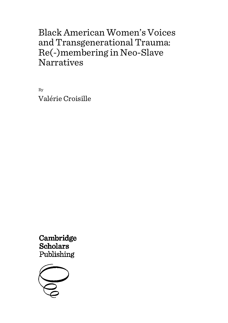By Valérie Croisille

Cambridge **Scholars** Publishing

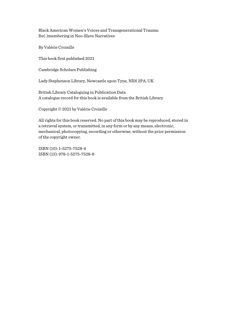By Valérie Croisille

This book first published 2021

Cambridge Scholars Publishing

Lady Stephenson Library, Newcastle upon Tyne, NE6 2PA, UK

British Library Cataloguing in Publication Data A catalogue record for this book is available from the British Library

Copyright © 2021 by Valérie Croisille

All rights for this book reserved. No part of this book may be reproduced, stored in a retrieval system, or transmitted, in any form or by any means, electronic, mechanical, photocopying, recording or otherwise, without the prior permission of the copyright owner.

ISBN (10): 1-5275-7528-4 ISBN (13): 978-1-5275-7528-8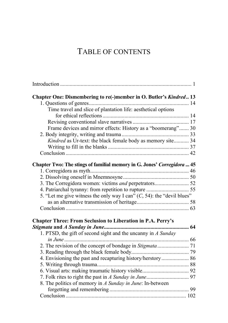# TABLE OF CONTENTS

| Chapter One: Dismembering to re(-)member in O. Butler's Kindred 13        |  |
|---------------------------------------------------------------------------|--|
|                                                                           |  |
| Time travel and slice of plantation life: aesthetical options             |  |
|                                                                           |  |
|                                                                           |  |
| Frame devices and mirror effects: History as a "boomerang" 30             |  |
|                                                                           |  |
| Kindred as Ur-text: the black female body as memory site 34               |  |
|                                                                           |  |
|                                                                           |  |
| Chapter Two: The stings of familial memory in G. Jones' Corregidora  45   |  |
|                                                                           |  |
|                                                                           |  |
| 3. The Corregidora women: victims and perpetrators 52                     |  |
|                                                                           |  |
| 5. "Let me give witness the only way I can" $(C, 54)$ : the "devil blues" |  |
|                                                                           |  |
|                                                                           |  |
| <b>Chapter Three: From Seclusion to Liberation in P.A. Perry's</b>        |  |
|                                                                           |  |
| 1. PTSD, the gift of second sight and the uncanny in A Sunday             |  |
|                                                                           |  |
|                                                                           |  |
|                                                                           |  |
| 4. Envisioning the past and recapturing history/herstory 86               |  |
|                                                                           |  |
|                                                                           |  |
|                                                                           |  |
| 8. The politics of memory in A Sunday in June: In-between                 |  |
|                                                                           |  |
|                                                                           |  |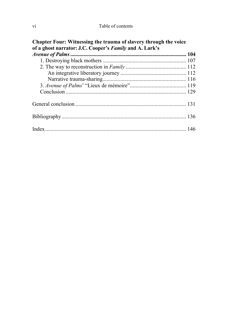| Chapter Four: Witnessing the trauma of slavery through the voice |  |
|------------------------------------------------------------------|--|
| of a ghost narrator: J.C. Cooper's Family and A. Lark's          |  |
|                                                                  |  |
|                                                                  |  |
|                                                                  |  |
|                                                                  |  |
|                                                                  |  |
|                                                                  |  |
|                                                                  |  |
|                                                                  |  |
|                                                                  |  |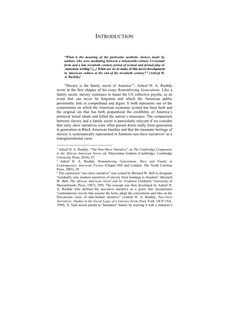## **INTRODUCTION**

*"What is the meaning of the particular aesthetic choices made by authors who were mediating between a nineteenth-century Ur-textual form and a late twentieth century period of textual and formal play in*  **American writing? [...] What are we to make of this novel development** *in American culture at the end of the twentieth century?" (Ashraf H.*   $A.$  **Rushdy**)<sup>1</sup>

"Slavery is the family secret of America"2, Ashraf H. A. Rushdy wrote in the first chapter of his essay *Remembering Generations*. Like a family secret, slavery continues to haunt the US collective psyche, as an event that can never be forgotten and which the American public persistently fails to comprehend and digest. It both represents one of the cornerstones on which the American economic system has been built and the original sin that has both jeopardized the credibility of America's primeval moral ideals and killed the nation's innocence. The comparison between slavery and a family secret is particularly relevant if we consider that early slave narratives were often passed down orally from generation to generation in Black American families and that the traumatic heritage of slavery is systematically represented in feminine neo-slave narratives<sup>3</sup> as a transgenerational curse.

<sup>1</sup> Ashraf H. A. Rushdy, "The Neo-Slave Narrative", in *The Cambridge Companion to the African American Novel*, ed. Maryemma Graham (Cambridge: Cambridge University Press, 2010), 87.

<sup>2</sup> Ashraf H. A. Rushdy, *Remembering Generations. Race and Family in Contemporary American Fiction* (Chapel Hill and London: The North Carolina Press, 2003), 29.

<sup>&</sup>lt;sup>3</sup> The expression "neo-slave narrative" was coined by Bernard W. Bell to designate "residually oral, modern narratives of slavery from bondage to freedom" (Bernard W. Bell, *The African American Novel and Its Tradition* [Amherst: University of Massachusetts Press, 1987], 289). The concept was then developed by Ashraf H. A. Rushdy who defined the neo-slave narrative as a genre that incorporates "contemporary novels that assume the form, adopt the conventions and take on the first-person voice of ante-bellum narrative" (Ashraf H. A. Rushdy, *Neo-slave Narratives: Studies in the Social Logic of a Literary Form* [New York: OUP USA, 1999], 3). Such novels permit to "humanize" history by weaving it with a character's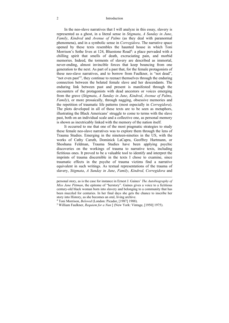#### 2 Introduction

In the neo-slave narratives that I will analyze in this essay, slavery is represented as a ghost, in a literal sense in *Stigmata*, *A Sunday in June*, *Family*, *Kindred* and *Avenue of Palms* (as they deal with paranormal phenomena), and in a symbolic sense in *Corregidora*. The narrative space opened by these texts resembles the haunted house in which Toni Morrison's Sethe lives at 124, Bluestone Road<sup>4</sup>: a place pervaded with a chilling spirit that smells of death, excruciating pain, and morbid memories. Indeed, the torments of slavery are described as immortal, never-ending, almost invincible forces that keep bouncing from one generation to the next. As part of a past that, for the female protagonists of these neo-slave narratives, and to borrow from Faulkner, is "not dead", "not even past"<sup>5</sup>, they continue to reenact themselves through the enduring connection between the belated female slave and her descendants. The enduring link between past and present is manifested through the encounters of the protagonists with dead ancestors or voices emerging from the grave (*Stigmata*, *A Sunday in June*, *Kindred*, *Avenue of Palms*, *Family*), or more prosaically, through nagging, obsessive memories and the repetition of traumatic life patterns (most especially in *Corregidora*). The plots developed in all of these texts are to be seen as metaphors, illustrating the Black Americans' struggle to come to terms with the slave past, both on an individual scale and a collective one, as personal memory is shown as inextricably linked with the memory of the nation itself.

It occurred to me that one of the most pragmatic strategies to study these female neo-slave narratives was to explore them through the lens of Trauma Studies. Emerging in the nineteen-nineties in the US, with the works of Cathy Caruth, Dominick LaCapra, Geoffrey Hartmann, or Shoshana Feldman, Trauma Studies have been applying psychic discoveries on the workings of trauma to narrative texts, including fictitious ones. It proved to be a valuable tool to identify and interpret the imprints of trauma discernible in the texts I chose to examine, since traumatic effects in the psyche of trauma victims find a narrative equivalent in such writings. As textual representations of the trauma of slavery, *Stigmata*, *A Sunday in June*, *Family*, *Kindred, Corregidora* and

personal story, as is the case for instance in Ernest J. Gaines' *The Autobiography of Miss Jane Pittman*, the epitome of "herstory". Gaines gives a voice to a fictitious century-old black woman born into slavery and belonging to a community that has been muzzled for centuries. In her final days she gets the chance to inscribe her story into History, as she becomes an oral, living archive.<br><sup>4</sup> Toni Morrison, *Beloved* (London: Picador, [1987] 1988).

<sup>&</sup>lt;sup>5</sup> William Faulkner, *Requiem for a Nun* [ (New York: Vintage, [1950] 1975).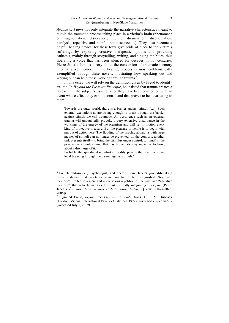*Avenue of Palms* not only integrate the narrative characteristics meant to mimic the traumatic process taking place in a victim's brain (phenomena of fragmentation, dislocation, rupture, dissociation, disorientation, paralysis, repetitive and painful reminiscences…). They also become a helpful healing device, for these texts give pride of place to the victim's sufferings by exploring creative therapeutic options and providing catharsis, mainly through storytelling, writing, and singing the blues, thus liberating a voice that has been silenced for decades, if not centuries. Pierre Janet's famous theory about the conversion of traumatic memory into narrative memory in the healing process is most emblematically exemplified through these novels, illustrating how speaking out and writing out can help those working through trauma.<sup>6</sup>

In this essay, we will rely on the definition given by Freud to identify trauma. In *Beyond the Pleasure Principle*, he insisted that trauma creates a "breach" in the subject's psyche, after they have been confronted with an event whose effect they cannot control and that proves to be devastating to them:

Towards the outer world, there is a barrier against stimuli […]. Such external excitations as are strong enough to break through the barrier against stimuli we call traumatic. An occurrence such as an external trauma will undoubtedly provoke a very extensive disturbance in the workings of the energy of the organism and will set in motion every kind of protective measure. But the pleasure-principle is to begin with put out of action here. The flooding of the psychic apparatus with large masses of stimuli can no longer be prevented; on the contrary, another task presents itself—to bring the stimulus under control, to 'bind' in the psyche the stimulus mind that has broken its way in, so as to bring about a discharge of it.

Probably the specific discomfort of bodily pain is the result of some local breaking through the barrier against stimuli.<sup>7</sup>

<sup>6</sup> French philosopher, psychologist, and doctor Pierre Janet's ground-breaking research showed that two types of memory had to be distinguished: "traumatic memory", limited to a mere and unconscious repetition of the past, and "narrative memory", that actively narrates the past by really integrating it as *past* (Pierre Janet, *L'Évolution de la mémoire et de la notion du temps* [Paris: L'Harmattan, 2006]).

<sup>7</sup> Sigmund Freud, *Beyond the Pleasure Principle*, trans. C. J. M. Hubback (London, Vienna: International Psycho-Analytical, 1922). www.bartleby.com/276/ (Accessed July 1, 2019).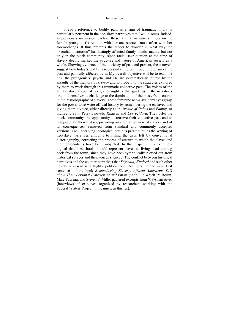#### 4 Introduction

Freud's reference to bodily pain as a sign of traumatic injury is particularly pertinent in the neo-slave narratives that I will discuss. Indeed, as previously mentioned, each of these familial narratives hinges on the female protagonist's relation with her ancestor(s)—most often with her foremother(s). It thus prompts the reader to wonder in what way the "Peculiar Institution" has lastingly affected family bonds, mainly but not only in the black community, since racial sexploitation at the time of slavery deeply marked the structure and nature of American society as a whole. Showing evidence of the intricacy of past and present, these novels suggest how today's reality is necessarily filtered through the prism of the past and painfully affected by it. My overall objective will be to examine how the protagonists' psyche and life are systematically injured by the assaults of the memory of slavery and to probe into the strategies explored by them to work through this traumatic collective past. The voices of the female slave and/or of her granddaughters that guide us in the narratives are, in themselves, a challenge to the domination of the master's discourse in the historiography of slavery. These feminine neo-slave narratives grasp for the power to re-write official history by remembering the enslaved and giving them a voice, either directly as in *Avenue of Palms* and *Family*, or indirectly as in Perry's novels, *Kindred* and *Corregidora*. They offer the black community the opportunity to retrieve their collective past and to reappropriate their history, providing an alternative view of slavery and of its consequences, removed from standard and commonly accepted versions. The underlying ideological battle is paramount, as the writing of neo-slave narratives amounts to filling the gaps left by conventional historiography, correcting the process of erasure to which the slaves and their descendants have been subjected. In that respect, it is extremely logical that these books should represent slaves as living dead coming back from the tomb, since they have been symbolically blotted out from historical sources and their voices silenced. The conflict between historical narratives and the counter-narratives that *Stigmata*, *Kindred* and such other novels represent is a highly political one. As noted in the very first sentences of the book *Remembering Slavery: African Americans Talk about Their Personal Experiences and Emancipation*, in which Ira Berlin, Marc Favreau, and Steven F. Miller gathered excerpts from WPA narratives (interviews of ex-slaves organized by researchers working with the Federal Writers Project in the nineteen thirties):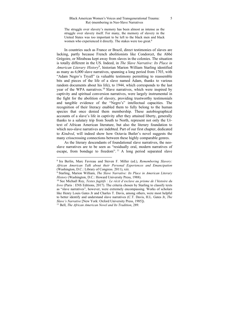The struggle over slavery's memory has been almost as intense as the struggle over slavery itself. For many, the memory of slavery in the United States was too important to be left to the black men and black women who experienced it directly. The stakes were too great.<sup>8</sup>

In countries such as France or Brazil, direct testimonies of slaves are lacking, partly because French abolitionists like Condorcet, the Abbé Grégoire, or Mirabeau kept away from slaves in the colonies. The situation is totally different in the US. Indeed, in *The Slave Narrative: Its Place in American Literary History*<sup>9</sup> , historian Marion William Starling identified as many as 6,000 slave narratives, spanning a long period from 1703, with "Adam Negro's Tryall" (a valuable testimony permitting to reassemble bits and pieces of the life of a slave named Adam, thanks to various random documents about his life), to 1944, which corresponds to the last year of the WPA narratives.<sup>10</sup> Slave narratives, which were inspired by captivity and spiritual conversion narratives, were largely instrumental in the fight for the abolition of slavery, providing trustworthy testimonials and tangible evidence of the "Negro's" intellectual capacities. The recognition of their literacy enabled them to fully belong to the human species that once denied them membership. These autobiographical accounts of a slave's life in captivity after they attained liberty, generally thanks to a salutary trip from South to North, represent not only the Urtext of African American literature, but also the literary foundation to which neo-slave narratives are indebted. Part of our first chapter, dedicated to *Kindred*, will indeed show how Octavia Butler's novel suggests the many crisscrossing connections between these highly comparable genres.

As the literary descendants of foundational slave narratives, the neoslave narratives are to be seen as "residually oral, modern narratives of escape, from bondage to freedom". 11 A long period separated slave

<sup>8</sup> Ira Berlin, Marc Favreau and Steven F. Miller (ed.), *Remembering Slavery: African American Talk about their Personal Experiences and Emancipation* (Washington, D.C.: Library of Congress. 2011), xiii.

<sup>9</sup> Starling, Marion William, *The Slave Narrative: Its Place in American Literary* 

<sup>&</sup>lt;sup>10</sup> See Michaël Roy, *Textes fugitifs : Le récit d'esclave au prisme de l'histoire du livre* (Paris : ENS Editions, 2017). The criteria chosen by Starling to classify texts as "slave narratives", however, were extremely encompassing. Works of scholars like Henry Louis Gates Jr and Charles T. Davis, among others, were most helpful to better identify and understand slave narratives (C.T. Davis, H.L. Gates Jr, *The Slave's Narrative* [New York: Oxford University Press, 1985]). 11 Bell, *The African American Novel and Its Tradition*, 289.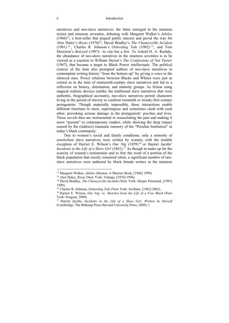#### 6 Introduction

narratives and neo-slave narratives: the latter emerged in the nineteen sixties and nineteen seventies, debuting with Margaret Walker's *Jubilee*   $(1966)^{12}$ , a best-seller that piqued public interest and paved the way for Alex Haley's *Roots* (1976)13, David Bradley's *The Chaneysville Incident* (1981) <sup>14</sup> , Charles R. Johnson's *Oxherding Tale* (1982) <sup>15</sup> , and Toni Morrison's *Beloved* (1987)—to cite but a few. To Ashraf H. A. Rushdy, the abundance of neo-slave narratives in the nineteen seventies is to be viewed as a reaction to William Styron's *The Confessions of Nat Turner*  (1967), that became a target to Black Power intellectuals. The political context of the time also prompted authors of neo-slave narratives to contemplate writing history "from the bottom up" by giving a voice to the silenced ones. Power relations between Blacks and Whites were just as central as in the time of nineteenth-century slave narratives and led to a reflection on history, domination, and minority groups. As fiction using magical realistic devices (unlike the traditional slave narratives that were authentic, biographical accounts), neo-slave narratives permit characters living in the period of slavery to confront twentieth or twenty-first century protagonists. Though materially impossible, these interactions enable different timelines to meet, superimpose and sometimes clash with each other, provoking serious damage in the protagonists' psyches and lives. Those novels then are instrumental in resuscitating the past and making it more "present" to contemporary readers, while showing the deep impact caused by the (indirect) traumatic memory of the "Peculiar Institution" in today's black community.

Due to women's social and family conditions, only a minority of *antebellum* slave narratives were written by women, with the notable exception of Harriet E. Wilson's Our Nig (1859)<sup>16</sup> or Harriet Jacobs' *Incidents in the Life of a Slave Girl* (1861).<sup>17</sup> As though to make up for the scarcity of women's testimonies and to free the word of a portion of the black population that mostly remained silent, a significant number of neoslave narratives were authored by black female writers in the nineteen

<sup>12</sup> Margaret Walker, *Jubilee* (Boston: A Mariner Book, [1966] 1999). 13 Alex Haley, *Roots* (New York: Vintage, [1976] 1994). 14 David Bradley, *The Chaneysville Incident* (New York: Harper Perennial, [1981] 1990).

<sup>15</sup> Charles R. Johnson, *Oxherding Tale* (New York: Scribner, [1982] 2005). 16 Harriet E. Wilson, *Our Nig: or, Sketches from the Life of a Free Black* (New

York: Penguin, 2009).

<sup>17</sup> Harriet Jacobs, *Incidents in the Life of a Slave Girl. Written by Herself*  (Cambridge: The Belknap Press Harvard University Press, 2009), l.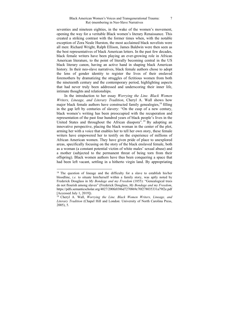seventies and nineteen eighties, in the wake of the women's movement, opening the way for a veritable Black women's literary Renaissance. This created a striking contrast with the former times when, with the notable exception of Zora Neale Hurston, the most acclaimed black novelists were all men: Richard Wright, Ralph Ellison, James Baldwin were then seen as the best representatives of black American letters. In the past few decades, black female writers have been playing an ever-growing role in African American literature, to the point of literally becoming central in the US black literary canon, having an active hand in shaping black American history. In their neo-slave narratives, black female authors chose to adopt the lens of gender identity to register the lives of their enslaved foremothers by dramatizing the struggles of fictitious women from both the nineteenth century and the contemporary period, highlighting aspects that had never truly been addressed and underscoring their inner life, intimate thoughts and relationships.

In the introduction to her essay *Worrying the Line. Black Women Writers, Lineage, and Literary Tradition*, Cheryl A. Wall shows how major black female authors have constructed family genealogies,<sup>18</sup> filling in the gap left by centuries of slavery: "On the cusp of a new century, black women's writing has been preoccupied with the recuperation and representation of the past four hundred years of black people's lives in the United States and throughout the African diaspora".<sup>19</sup> By adopting an innovative perspective, placing the black woman in the center of the plot, arming her with a voice that enables her to tell her own story, these female writers have empowered her to testify on the experience of millions of African American women. They have given pride of place to unexplored areas, specifically focusing on the story of the black enslaved female, both as a woman (a constant potential victim of white males' sexual abuse) and a mother (subjected to the permanent threat of being torn from their offspring). Black women authors have thus been conquering a space that had been left vacant, settling in a hitherto virgin land. By appropriating

<sup>&</sup>lt;sup>18</sup> The question of lineage and the difficulty for a slave to establish his/her bloodline, *i.e.* to situate him/herself within a family story, was aptly noted by Frederick Douglass in *My Bondage and my Freedom* (1855): "Genealogical trees do not flourish among slaves" (Frederick Douglass, *My Bondage and my Freedom*, https://pdfs.semanticscholar.org/4027/200fe0386d7270869c70f278035331a79f2e.pdf [Accessed July 1, 2019]).

<sup>19</sup> Cheryl A. Wall, *Worrying the Line. Black Women Writers, Lineage, and Literary Tradition* (Chapel Hill and London: University of North Carolina Press, 2005), 5.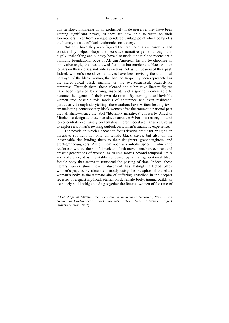this territory, impinging on an exclusively male preserve, they have been gaining significant power, as they are now able to write on their foremothers' lives from a unique, gendered vantage point which completes the literary mosaic of black testimonies on slavery.

Not only have they reconfigured the traditional slave narrative and considerably helped shape the neo-slave narrative genre; through this highly unshackling act, but they have also made it possible to reconsider a painfully foundational page of African American history by choosing an innovative angle, that has allowed fictitious but emblematic black women to pass on their stories, not only as victims, but as full bearers of their past. Indeed, women's neo-slave narratives have been revising the traditional portrayal of the black woman, that had too frequently been represented as the stereotypical black mammy or the oversexualized, Jezabel-like temptress. Through them, these silenced and submissive literary figures have been replaced by strong, inspired, and inspiring women able to become the agents of their own destinies. By turning quasi-invisible women into possible role models of endurance and even resilience, particularly through storytelling, these authors have written healing texts emancipating contemporary black women after the traumatic national past they all share—hence the label "liberatory narratives" chosen by Angelyn Mitchell to designate these neo-slave narratives.<sup>20</sup> For this reason, I intend to concentrate exclusively on female-authored neo-slave narratives, so as to explore a woman's revising outlook on women's traumatic experience.

The novels on which I choose to focus deserve credit for bringing an inventive spotlight not only on female black slaves, but also on the inextricable ties binding them to their daughters, granddaughters, and great-granddaughters. All of them open a symbolic space in which the reader can witness the painful back and forth movements between past and present generations of women: as trauma moves beyond temporal limits and coherence, it is inevitably conveyed by a transgenerational black female body that seems to transcend the passing of time. Indeed, these literary works show how enslavement has lastingly affected black women's psyche, by almost constantly using the metaphor of the black woman's body as the ultimate site of suffering. Inscribed in the deepest recesses of a quasi-mythical, eternal black female body, trauma builds an extremely solid bridge bonding together the fettered women of the time of

<sup>20</sup> See Angelyn Mitchell, *The Freedom to Remember: Narrative, Slavery and Gender in Contemporary Black Women's Fiction* (New Brunswick: Rutgers University Press, 2002).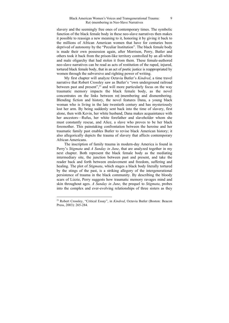slavery and the seemingly free ones of contemporary times. The symbolic function of the black female body in these neo-slave narratives then makes it possible to reassign a new meaning to it, honoring it by giving it back to the millions of African American women that have for centuries been deprived of autonomy by the "Peculiar Institution". The black female body is made their own possession again, after Morrison, Perry, Butler and others took it back from the prison-like territory controlled by an all-white and male oligarchy that had stolen it from them. These female-authored neo-slave narratives can be read as acts of restitution of the raped, injured, tortured black female body, that in an act of poetic justice is reappropriated by women through the subversive and righting power of writing.

My first chapter will analyze Octavia Butler's *Kindred*, a time travel narrative that Robert Crossley saw as Butler's "own underground railroad between past and present", $^{21}$  and will more particularly focus on the way traumatic memory impacts the black female body, as the novel concentrates on the links between re(-)membering and dismembering. Blending fiction and history, the novel features Dana, a young black woman who is living in the late twentieth century and has mysteriously lost her arm. By being suddenly sent back into the time of slavery, first alone, then with Kevin, her white husband, Dana makes acquaintance with her ancestors—Rufus, her white forefather and slaveholder whom she must constantly rescue, and Alice, a slave who proves to be her black foremother. This painstaking confrontation between the heroine and her traumatic family past enables Butler to revise black American history; it also allegorically depicts the trauma of slavery that affects contemporary African Americans.

The inscription of family trauma in modern-day America is found in Perry's *Stigmata* and *A Sunday in June*, that are analyzed together in my next chapter. Both represent the black female body as the mediating intermediary site, the junction between past and present, and take the reader back and forth between enslavement and freedom, suffering and healing. The plot of *Stigmata*, which stages a black body literally tortured by the stings of the past, is a striking allegory of the intergenerational persistence of trauma in the black community. By describing the bloody scars of Lizzie, Perry suggests how traumatic memory ravages mind and skin throughout ages. *A Sunday in June*, the prequel to *Stigmata*, probes into the complex and ever-evolving relationships of three sisters as they

<sup>21</sup> Robert Crossley, "Critical Essay", in *Kindred*, Octavia Butler (Boston: Beacon Press, 2003): 265-284.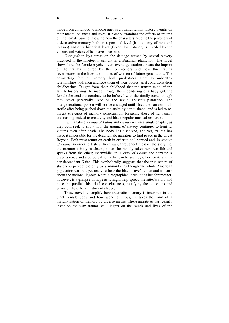move from childhood to middle-age, as a painful family history weighs on their mental balances and lives. It closely examines the effects of trauma on the female psyche, showing how the characters become the prisoners of a destructive memory both on a personal level (it is a story of rape and treason) and on a historical level (Grace, for instance, is invaded by the visions and voices of her slave ancestor).

*Corregidora* lays stress on the damage caused by sexual slavery practiced in the nineteenth century in a Brazilian plantation. The novel shows how the female psyche, over several generations, bears the imprint of the trauma endured by the foremothers and how this trauma reverberates in the lives and bodies of women of future generations. The devastating familial memory both predestines them to unhealthy relationships with men and robs them of their bodies, as it conditions their childbearing. Taught from their childhood that the transmission of the family history must be made through the engendering of a baby girl, the female descendants continue to be infected with the family curse, though they never personally lived on the sexual abuser's plantation. The intergenerational poison will not be assuaged until Ursa, the narrator, falls sterile after being pushed down the stairs by her husband, and is led to reinvent strategies of memory perpetuation, forsaking those of her family and turning instead to creativity and black popular musical resources.

I will analyze *Avenue of Palms* and *Family* within a single chapter, as they both seek to show how the trauma of slavery continues to hunt its victims even after death. The body has dissolved, and yet, trauma has made it impossible for the dead female narrators to find peace in the Great Beyond. Both must return on earth in order to be liberated and, in *Avenue of Palms*, in order to testify. In *Family*, throughout most of the storyline, the narrator's body is absent, since she rapidly takes her own life and speaks from the ether; meanwhile, in *Avenue of Palms*, the narrator is given a voice and a corporeal form that can be seen by other spirits and by her descendant Kaira. This symbolically suggests that the true nature of slavery is perceptible only by a minority, as though the whole American population was not yet ready to hear the black slave's voice and to learn about the national legacy. Kaira's biographical account of her foremother, however, is a glimpse of hope as it might help spread the latter's story and raise the public's historical consciousness, rectifying the omissions and errors of the official history of slavery.

These novels exemplify how traumatic memory is inscribed in the black female body and how working through it takes the form of a narrativization of memory by diverse means. These narratives particularly insist on the way trauma still lingers on the minds and lives of the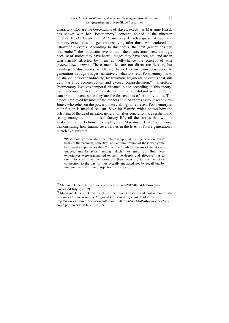characters who are the descendants of slaves, exactly as Marianne Hirsch has shown with her "Postmemory" concept, coined in the nineteen nineties. In *The Generation of Postmemory,* Hirsch argues that traumatic memory extends to the generations living after those who endured the catastrophic events. According to this thesis, the next generations can "remember" the traumatic events that their ancestors went through, because of stories they have heard, images they have seen, etc, and are in turn harshly affected by them as well—hence the concept of *post generational trauma*. These memories are not direct recollection, but haunting postmemories which are handed down from generation to generation through images, narratives, behaviors, etc. Postmemory "is to be shaped, however indirectly, by traumatic fragments of events that still defy narrative reconstruction and exceed comprehension."<sup>22</sup> Therefore, Postmemory involves temporal distance, since according to this theory, trauma "contaminates" individuals that themselves did not go through the catastrophic event, since they are the descendants of trauma victims. The device employed by most of the authors studied in this essay (except Gayl Jones, who relies on the power of storytelling) to represent Postmemory in their fiction is magical realism. Save for *Family*, which shows how the offspring of the dead narrator, generation after generation, are resilient and strong enough to build a satisfactory life, all the stories that will be analyzed are fictions exemplifying Marianne Hirsch's theory, demonstrating how trauma reverberates in the lives of future generations. Hirsch explains that:

"Postmemory" describes the relationship that the "generation after" bears to the personal, collective, and cultural trauma of those who came before—to experiences they "remember" only by means of the stories, images, and behaviors among which they grew up. But these experiences were transmitted to them so deeply and affectively as to seem to constitute memories in their own right. Postmemory´s connection to the past is thus actually mediated not by recall but by imaginative investment, projection, and creation.<sup>23</sup>

<sup>22</sup> Marianne Hirsch, https://www.postmemory.net/2012/01/04/hello-world/ (Accessed July 1, 2019).

<sup>23</sup> Marianne Hirsch, "Création et postmémoire. Creation and postmemory", *Art absolument. L'art d'hier et d'aujourd'hui. Numéro spécial,* avril 2013*.*  http://www.ciremm.org/wp-content/uploads/2015/06/ArtAbsPostmemoire-72dpicopie.pdf (Accessed July 1, 2019).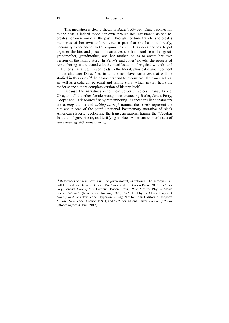#### 12 Introduction

This mediation is clearly shown in Butler's *Kindred*: Dana's connection to the past is indeed made her own through her investment, as she recreates her own world in the past. Through her time travels, she creates memories of her own and reinvests a past that she has not directly, personally experienced. In *Corregidora* as well, Ursa does her best to put together the bits and pieces of narratives she has heard from her greatgrandmother, grandmother, and her mother, so as to create her own version of the family story. In Perry's and Jones' novels, the process of remembering is associated with the manifestation of physical wounds, and in Butler's narrative, it even leads to the literal, physical dismemberment of the character Dana. Yet, in all the neo-slave narratives that will be studied in this essay,  $24$  the characters tend to reconstruct their own selves, as well as a coherent personal and family story, which in turn helps the reader shape a more complete version of history itself.

Because the narratives echo their powerful voices, Dana, Lizzie, Ursa, and all the other female protagonists created by Butler, Jones, Perry, Cooper and Lark *re-member* by remembering. As these resilient characters are *writing* trauma and *writing through* trauma, the novels represent the bits and pieces of the painful national Postmemory narrative of black American slavery, recollecting the transgenerational trauma the "Peculiar Institution" gave rise to, and testifying to black American women's acts of *remembering* and *re-membering*.

<sup>24</sup> References to these novels will be given in-text, as follows. The acronym "*K*" will be used for Octavia Butler's *Kindred* (Boston: Beacon Press, 2003); "*C*" for Gayl Jones's *Corregidora* Boston: Beacon Press, 1987; "*S*" for Phyllis Alesia Perry's *Stigmata* (New York: Anchor, 1999); "*SJ*" for Phyllis Alesia Perry's *A Sunday in June* (New York: Hyperion, 2004); "*F*" for Joan California Cooper's *Family* (New York: Anchor, 1991); and "*AP*" for Athena Lark's *Avenue of Palms*  (Bloomington: Xlibris, 2013).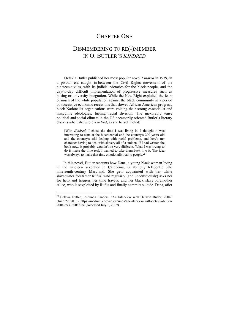## CHAPTER ONE

## DISMEMBERING TO RE(-)MEMBER IN O. BUTLER'S *KINDRED*

Octavia Butler published her most popular novel *Kindred* in 1979, in a pivotal era caught in-between the Civil Rights movement of the nineteen-sixties, with its judicial victories for the black people, and the day-to-day difficult implementation of progressive measures such as busing or university integration. While the New Right exploited the fears of much of the white population against the black community in a period of successive economic recessions that slowed African American progress, black Nationalist organizations were voicing their strong essentialist and masculine ideologies, fueling racial division. The inexorably tense political and social climate in the US necessarily oriented Butler's literary choices when she wrote *Kindred*, as she herself noted:

[With *Kindred*] I chose the time I was living in. I thought it was interesting to start at the bicentennial and the country's 200 years old and the country's still dealing with racial problems, and here's my character having to deal with slavery all of a sudden. If I had written the book now, it probably wouldn't be very different. What I was trying to do is make the time real, I wanted to take them back into it. The idea was always to make that time emotionally real to people.<sup>25</sup>

 In this novel, Butler recounts how Dana, a young black woman living in the nineteen seventies in California, is abruptly teleported into nineteenth-century Maryland. She gets acquainted with her white slaveowner forefather Rufus, who regularly (and unconsciously) asks her for help and triggers her time travels, and her black slave foremother Alice, who is sexploited by Rufus and finally commits suicide. Dana, after

<sup>25</sup> Octavia Butler, Joshunda Sanders. "An Interview with Octavia Butler, 2004" (June 22, 2018). https://medium.com/@joshunda/an-interview-with-octavia-butler-2004-8933300df98a (Accessed July 1, 2019).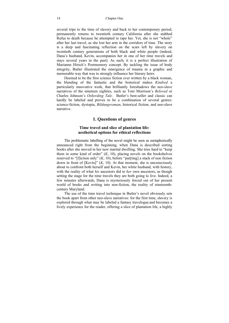several trips to the time of slavery and back to her contemporary period, permanently returns to twentieth century California after she stabbed Rufus to death because he attempted to rape her. Yet, she is not "whole" after her last travel, as she lost her arm in the corridors of time. The story is a deep and fascinating reflection on the scars left by slavery on twentieth century generations of both black and white people (indeed, Dana's husband, Kevin, accompanies her in one of her time travels and stays several years in the past). As such, it is a perfect illustration of Marianne Hirsch's Postmemory concept. By tackling the issue of body integrity, Butler illustrated the emergence of trauma in a graphic and memorable way that was to strongly influence her literary heirs.

Deemed to be the first science fiction ever written by a black woman, the blending of the fantastic and the historical makes *Kindred* a particularly innovative work, that brilliantly foreshadows the neo-slave narratives of the nineteen eighties, such as Toni Morrison's *Beloved* or Charles Johnson's *Oxherding Tale*. Butler's best-seller and classic can hardly be labeled and proves to be a combination of several genres: science-fiction, dystopia, *Bildungsroman*, historical fiction, and neo-slave narrative.

### **1. Questions of genres**

### **Time travel and slice of plantation life: aesthetical options for ethical reflections**

The problematic labelling of the novel might be seen as metaphorically announced right from the beginning, when Dana is described sorting books after she moved in her new marital dwelling. She tries hard to "keep them in some kind of order"  $(K, 10)$ , placing novels on the bookshelves reserved to "[f]iction only" (*K*, 10), before "put[ting] a stack of non fiction down in front of  $[Kevin]$ "  $(K, 10)$ . At that moment, she is unconsciously about to confront both herself and Kevin, her white husband, with history, with the reality of what *his* ancestors did to *her* own ancestors, as though setting the stage for the time travels they are both going to live. Indeed, a few minutes afterwards, Dana is mysteriously forced out of her present world of books and writing into non-fiction, the reality of nineteenthcentury Maryland.

The use of the time travel technique in Butler's novel obviously sets the book apart from other neo-slave narratives: for the first time, slavery is explored through what may be labeled a fantasy travelogue and becomes a lively experience for the reader, offering a slice of plantation life, a highly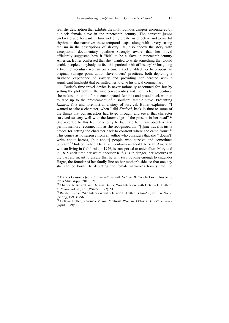realistic description that exhibits the multitudinous dangers encountered by a black female slave in the nineteenth century. The constant jumps backward and forward in time not only create an effective and powerful rhythm in the narrative: these temporal leaps, along with a very strong realism in the descriptions of slavery life, also endow the story with exceptional documentary qualities. Strongly aware that her novel efficiently suggested how it "felt" to be a slave in nineteenth-century America, Butler confessed that she "wanted to write something that would enable people... anybody, to feel this particular bit of history".<sup>26</sup> Imagining a twentieth-century woman on a time travel enabled her to propose an original vantage point about slaveholders' practices, both depicting a firsthand experience of slavery and providing her heroine with a significant hindsight that permitted her to give historical commentary.

Butler's time travel device is never rationally accounted for, but by setting the plot both in the nineteen seventies and the nineteenth century, she makes it possible for an emancipated, feminist and proud black woman to face up to the predicament of a southern female slave. Presenting *Kindred* first and foremost as a story of survival, Butler explained: "I wanted to take a character, when I did *Kindred*, back in time to some of the things that our ancestors had to go through, and see if that character survived so very well with the knowledge of the present in her head".<sup>27</sup> She resorted to this technique only to facilitate her main objective and permit memory reconnection, as she recognized that "[t]ime travel is just a device for getting the character back to confront where she came from".<sup>28</sup> This comes as no surprise from an author who considers that she "[doesn't] write about heroes, [but about] people who survive and sometimes prevail".29 Indeed, when Dana, a twenty-six-year-old African American woman living in California in 1976, is transported to antebellum Maryland in 1815 each time her white ancestor Rufus is in danger, her sojourns in the past are meant to ensure that he will survive long enough to engender Hagar, the founder of her family line on her mother's side, so that one day she can be born. By depicting the female narrator's travels into the

<sup>26</sup> Francis Consuela (ed.), *Conversations with Octavia Butler* (Jackson: University Press Mississippi, 2010), 219.

<sup>27</sup> Charles A. Rowell and Octavia Butler, "An Interview with Octavia E. Butler", *Callaloo*, vol. 20, n°1 (Winter, 1997): 51.<br><sup>28</sup> Randall Kenan, "An Interview with Octavia E. Butler", *Callaloo*, vol. 14, No. 2,

<sup>(</sup>Spring, 1991): 496.

<sup>29</sup> Octavia Butler, Veronica Mixon, "Futurist Woman: Octavia Butler", *Essence* (April 1979): 12.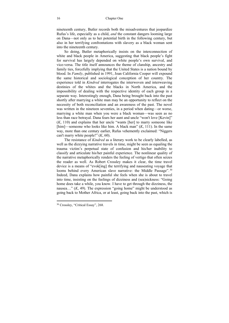nineteenth century, Butler records both the misadventures that jeopardize Rufus's life, especially as a child, *and* the constant dangers looming large on Dana—not only as to her potential birth in the following century, but also in her terrifying confrontations with slavery as a black woman sent into the nineteenth century.

So doing, Butler metaphorically insists on the interconnection of white and black people in America, suggesting that black people's fight for survival has largely depended on white people's own survival, and vice-versa. The title itself announces the theme of clanship, ancestry and family ties, forcefully implying that the United States is a nation bound by blood. In *Family*, published in 1991, Joan California Cooper will expound the same historical and sociological conception of her country. The experience told in *Kindred* interrogates the interwoven and interweaving destinies of the whites and the blacks in North America, and the impossibility of dealing with the respective identity of each group in a separate way. Interestingly enough, Dana being brought back into the past shortly after marrying a white man may be an opportunity to reflect on the necessity of both reconciliation and an awareness of the past. The novel was written in the nineteen seventies, in a period when dating—or worse, marrying a white man when you were a black woman—was seen as no less than race betrayal. Dana fears her aunt and uncle "won't love [Kevin]" (*K*, 110) and explains that her uncle "wants [her] to marry someone like [him]—someone who looks like him. A black man" (*K*, 111). In the same way, more than one century earlier, Rufus vehemently exclaimed: "Niggers can't marry white people!" (*K*, 60).

The resistance of *Kindred* as a literary work to be clearly labelled, as well as the dizzying narrative travels in time, might be seen as equaling the trauma victim's perpetual state of confusion and his/her inability to classify and articulate his/her painful experience. The nonlinear quality of the narrative metaphorically renders the feeling of vertigo that often seizes the reader as well. As Robert Crossley makes it clear, the time travel device is a means of "evok[ing] the terrifying and nauseating voyage that looms behind every American slave narrative: the Middle Passage".<sup>30</sup> Indeed, Dana explains how painful she feels when she is about to travel into time, insisting on the feelings of dizziness and (sea)sickness: "Going home does take a while, you know. I have to get through the dizziness, the nausea…" (*K*, 49). The expression "going home" might be understood as going back to Mother Africa, or at least, going back into the past, which is

<sup>30</sup> Crossley, "Critical Essay", 268.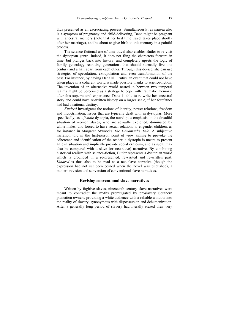thus presented as an excruciating process. Simultaneously, as nausea also is a symptom of pregnancy and child-delivering, Dana might be pregnant with ancestral memory (note that her first time travel takes place shortly after her marriage), and be about to give birth to this memory in a painful process.

The science-fictional use of time travel also enables Butler to re-visit the dystopian genre. Indeed, it does not fling the characters forward in time, but plunges back into history, and completely upsets the logic of family genealogy reuniting generations that should normally live one century and a half apart from each other. Through this device, she can use strategies of speculation, extrapolation and even transformation of the past. For instance, by having Dana kill Rufus, an event that could not have taken place in a coherent world is made possible thanks to science-fiction. The invention of an alternative world nested in between two temporal realms might be perceived as a strategy to cope with traumatic memory: after this supernatural experience, Dana is able to re-write her ancestral story and could have re-written history on a larger scale, if her forefather had had a national destiny.

*Kindred* investigates the notions of identity, power relations, freedom and indoctrination, issues that are typically dealt with in dystopias. More specifically, as a *female* dystopia, the novel puts emphasis on the dreadful situation of women slaves, who are sexually exploited, dominated by white males, and forced to have sexual relations to engender children, as for instance in Margaret Atwood's *The Handmaid's Tale.* A subjective narration told in the first-person point of view aiming to provoke the adherence and identification of the reader, a dystopia is meant to present an evil situation and implicitly provide social criticism, and as such, may also be compared with a slave (or neo-slave) narrative. By combining historical realism with science-fiction, Butler represents a dystopian world which is grounded in a re-presented, re-visited and re-written past. *Kindred* is thus also to be read as a neo-slave narrative (though the expression had not yet been coined when the novel was published), a modern revision and subversion of conventional slave narratives.

#### **Revising conventional slave narratives**

Written by fugitive slaves, nineteenth-century slave narratives were meant to contradict the myths promulgated by proslavery Southern plantation owners, providing a white audience with a reliable window into the reality of slavery, synonymous with dispossession and dehumanization. After a generally long period of slavery had literally erased their very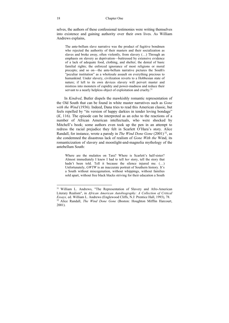selves, the authors of these confessional testimonies were writing themselves into existence and gaining authority over their own lives. As William Andrews explains,

The ante-bellum slave narrative was the product of fugitive bondmen who rejected the authority of their masters and their socialization as slaves and broke away, often violently, from slavery (…) Through an emphasis on slavery as deprivation—buttressed by extensive evidence of a lack of adequate food, clothing, and shelter; the denial of basic familial rights; the enforced ignorance of most religions or moral precepts; and so on—the ante-bellum narrative pictures the South's "peculiar institution" as a wholesale assault on everything precious to humankind. Under slavery, civilization reverts to a Hobbesian state of nature; if left to its own devices slavery will pervert master and mistress into monsters of cupidity and power-madness and reduce their servant to a nearly helpless object of exploitation and cruelty.<sup>31</sup>

In *Kindred*, Butler dispels the mawkishly romantic representation of the Old South that can be found in white master narratives such as *Gone with the Wind* (1936). Indeed, Dana tries to read this American classic, but feels repelled by "its version of happy darkies in tender loving bondage" (*K*, 116). The episode can be interpreted as an echo to the reactions of a number of African American intellectuals, who were shocked by Mitchell's book; some authors even took up the pen in an attempt to redress the racial prejudice they felt in Scarlett O'Hara's story. Alice Randall, for instance, wrote a parody in *The Wind Done Gone* (2001) 32, as she condemned the disastrous lack of realism of *Gone With the* Wind, its romanticization of slavery and moonlight-and-magnolia mythology of the antebellum South:

Where are the mulattos on Tara? Where is Scarlett's half-sister? Almost immediately I knew I had to tell *her* story, tell the story that hadn't been told. Tell it because the silence injured me. (...) Unfortunately, *GWTW* is an inaccurate portrait of Southern history. It's a South without miscegenation, without whippings, without families sold apart, without free black blacks striving for their education a South

<sup>&</sup>lt;sup>31</sup> William L. Andrews, "The Representation of Slavery and Afro-American Literary Realism", in *African American Autobiography: A Collection of Critical Essays,* ed. William L. Andrews (Englewood Cliffs, N.J: Prentice Hall, 1993), 78. 32 Alice Randall, *The Wind Done Gone* (Boston: Houghton Mifflin Harcourt, 2001).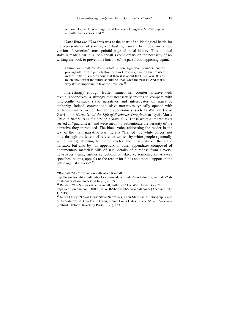without Booker T. Washington and Frederick Douglass. *GWTW* depicts a South that never existed.33

*Gone With the Wind* thus was at the heart of an ideological battle for the representation of slavery, a textual fight meant to impose one single version of America's most painful page of racial history. This political stake is made clear in Alice Randall's commentary on the necessity of rewriting the book to prevent the horrors of the past from happening again:

I think *Gone With the Wind* in fact is more significantly understood as propaganda for the perpetuation of Jim Crow segregation that existed in the 1930s. It's more about that than it is about the Civil War. It's as much about what the future should be, than what the past is. And that's why it's so important to take the novel on.<sup>34</sup>

Interestingly enough, Butler frames her counter-narrative with textual appendixes, a strategy that necessarily invites to compare with nineteenth- century slave narratives and interrogates on narrative authority. Indeed, conventional slave narratives typically opened with prefaces usually written by white abolitionists, such as William Lloyd Garrison in *Narrative of the Life of Frederick Douglass*, or Lydia Maria Child in *Incidents in the Life of a Slave Girl.* These white-authored texts served as "guarantees" and were meant to authenticate the veracity of the narrative they introduced. The black voice addressing the reader in the text of the main narrative was literally "framed" by white voices, not only through the letters of reference written by white people (generally white males) attesting to the character and reliability of the slave narrator, but also by "an appendix or other appendixes composed of documentary material: bills of sale, details of purchase from slavery, newspaper items, further reflections on slavery, sermons, anti-slavery speeches, poems, appeals to the reader for funds and moral support in the battle against slavery".35

<sup>33</sup>Randall, "A Conversation with Alice Randall".

http://www.houghtonmifflinbooks.com/readers\_guides/wind\_done\_gone/index2.sh<br>tml#conversation (Accessed July 1, 2019).

<sup>&</sup>lt;sup>34</sup> Randall, "CNN.com - Alice Randall, author of 'The Wind Done Gone'".

https://edition.cnn.com/2001/SHOWBIZ/books/06/22/randall.cnna/ (Accessed July 1, 2019).

<sup>&</sup>lt;sup>35</sup> James Olney, "I Was Born: Slave Narratives, Their Status as Autobiography and as Literature", ed. Charles T. Davis, Henry Louis Gates Jr, *The Slave's Narrative*  (Oxford: Oxford University Press, 1991), 153.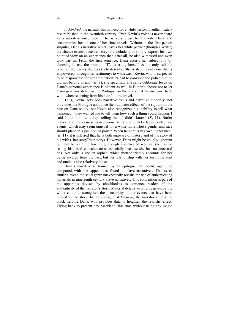#### 20 Chapter One

In *Kindred*, the narrator has no need for a white person to authenticate a text published in the twentieth century. Even Kevin's voice is never heard as a narrative one, even if he is very close to his wife Dana and accompanies her on one of her time travels. Written in the first-person singular, Dana's narrative never leaves her white partner (though a writer) the chance to introduce her story or conclude it, or simply express his own point of view on an experience that, after all, he also witnessed and even took part in. From the first sentence, Dana asserts her subjectivity by choosing to use the pronoun "I", asserting herself as the only reliable "eye" of the events she decides to describe. She is also the only one that is empowered, through her testimony, to whitewash Kevin, who is suspected to be responsible for her amputation: "I had to convince the police that he did not belong in jail" (*K*, 9), she specifies. The same deliberate focus on Dana's personal experience is blatant as well in Butler's choice not to let Dana give any detail in the Prologue on the scars that Kevin came back with, when returning from his painful time travel.

Thus, Kevin lacks both narrative focus and narrative authority: not only does the Prologue announce the traumatic effects of the sojourn in the past on Dana solely, but Kevin also recognizes his inability to tell what happened: "they wanted me to tell them how such a thing could happen. I said I didn't know… kept telling them I didn't know" (*K*, 11). Butler makes his helplessness conspicuous as he completely lacks control on events, which may seem unusual for a white male whose gender and race should place in a position of power. When he admits his own "ignorance" (*K*, 11), it is inferred that he is both unaware of history and of the story of his wife ("her-story"/her story). However, Dana might be equally ignorant of them before time travelling; though a cultivated woman, she has no strong historical consciousness, especially because she has no ancestral ties. Not only is she an orphan, which metaphorically accounts for her being severed from the past, but her relationship with her surviving aunt and uncle is also relatively loose.

Dana's narrative is framed by an epilogue that could, again, be compared with the appendixes found in slave narratives. Thanks to Butler's talent, the sci-fi genre unexpectedly revisits the use of authenticating materials in nineteenth-century slave narratives. This convention is part of the apparatus devised by abolitionists to convince readers of the authenticity of the narrator's story. Material details were to be given by the white editor to strengthen the plausibility of the events that have been related in the story. In the epilogue of *Kindred,* the narrator still is the black heroine Dana, who provides data to heighten the realistic effect. Flying back to present day Maryland, this time without using any magic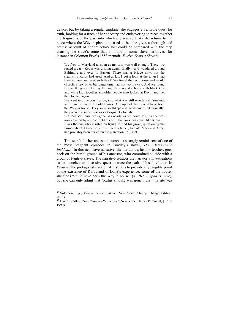device, but by taking a regular airplane, she engages a veritable quest for truth, looking for a trace of her ancestry and endeavoring to piece together the fragments of the past into which she was sent. As she returns to the place where the Weylin plantation used to be, she gives a thorough and precise account of her trajectory that could be compared with the map charting the slave's route that is found in some slave narratives, for instance in Solomon Frye's 1853 memoir, *Twelve Years a Slave*36:

We flew to Maryland as soon as my arm was well enough. There, we rented a car—Kevin was driving again, finally—and wandered around Baltimore and over to Easton. There was a bridge now, not the steamship Rufus had used. And at last I got a look at the town I had lived so near and seen so little of. We found the courthouse and an old church, a few other buildings time had not worn away. And we found Burger King and Holiday Inn and Texaco and schools with black kids and white kids together and older people who looked at Kevin and me, then looked again.

We went into the countryside, into what was still woods and farmland, and found a few of the old houses. A couple of them could have been the Weylin house. They were well-kept and handsomer, but basically, they were the same red-brick Georgian Colonials.

But Rufus's house was gone. As nearly as we could tell, its site was now covered by a broad field of corn. The house was dust, like Rufus. I was the one who insisted on trying to find his grave, questioning the farmer about it because Rufus, like his father, like old Mary and Alice, had probably been buried on the plantation. (*K*, 262)

The search for her ancestors' tombs is strongly reminiscent of one of the most pregnant episodes in Bradley's novel, *The Chaneysville Incident.*<sup>37</sup> In this neo-slave narrative, the narrator, a history teacher, goes back on the burial ground of his ancestor, who committed suicide with a group of fugitive slaves. The narrative retraces the narrator's investigations as he launches an obsessive quest to trace the path of his forefather. In *Kindred*, the protagonists' search at first fails to provide any tangible proof of the existence of Rufus and of Dana's experience; some of the houses she finds "*could* have been the Weylin house" (*K*, 262. *Emphasis mine*), but she can only admit that "Rufus's house was gone", that "its site was

<sup>36</sup> Solomon Frye, *Twelve Years a Slave* (New York: Chump Change Edition, 2017).

<sup>37</sup> David Bradley, *The Chaneysville Incident* (New York: Harper Perennial, [1981] 1990).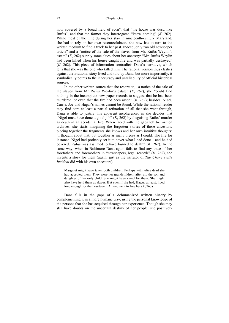now covered by a broad field of corn", that "the house was dust, like Rufus", and that the farmer they interrogated "knew nothing" (*K*, 262). While most of the time during her stay in nineteenth-century Maryland, she had to rely on her own resourcefulness, she now has to turn to the written medium to find a track to her past. Indeed, only "an old newspaper article" and a "notice of the sale of the slaves from Mr. Rufus Weylin's estate" (*K*, 262) supply some clues about her ancestry: "Mr. Rufus Weylin had been killed when his house caught fire and was partially destroyed" (*K*, 262). This piece of information contradicts Dana's narrative, which tells that she was the one who killed him. The rational version thus clashes against the irrational story lived and told by Dana, but more importantly, it symbolically points to the inaccuracy and unreliability of official historical sources.

In the other written source that she resorts to, "a notice of the sale of the slaves from Mr Rufus Weylin's estate" (*K*, 262), she "could find nothing in the incomplete newspaper records to suggest that he had been murdered, or even that the fire had been arson" (*K*, 262); besides, Nigel, Carrie, Joe and Hagar's names cannot be found. While the rational reader may find here at least a partial refutation of all that she went through, Dana is able to justify this apparent incoherence, as she decides that "Nigel must have done a good job" (*K*, 262) by disguising Rufus' murder as death in an accidental fire. When faced with the gaps left by written archives, she starts imagining the forgotten stories of these ancestors, piecing together the fragments she knows and her own intuitive thoughts: "I thought about that, put together as many pieces as I could. The fire for instance. Nigel had probably set it to cover what I had done – and he had covered. Rufus was assumed to have burned to death" (*K*, 262). In the same way, when in Baltimore Dana again fails to find any trace of her forefathers and foremothers in "newspapers, legal records" (*K*, 262), she invents a story for them (again, just as the narrator of *The Chaneysville Incident* did with his own ancestors):

Margaret might have taken both children. Perhaps with Alice dead she had accepted them. They were her grandchildren, after all, the son and daughter of her only child. She might have cared for them. She might also have held them as slaves. But even if she had, Hagar, at least, lived long enough for the Fourteenth Amendment to free her (*K*, 263).

Dana fills in the gaps of a dehumanized written history by complementing it in a more humane way, using the personal knowledge of the persons that she has acquired through her experience. Though she may still have doubts on the uncertain destiny of her people, she positively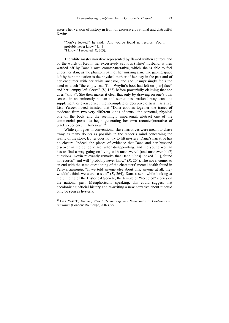asserts her version of history in front of excessively rational and distrustful Kevin:

"You've looked," he said. "And you've found no records. You'll probably never know." […] "I know," I repeated (*K*, 263).

The white master narrative represented by flawed written sources and by the words of Kevin, her excessively cautious (white) husband, is then warded off by Dana's own counter-narrative, which she is able to feel under her skin, as the phantom pain of her missing arm. The gaping space left by her amputation is the physical marker of her stay in the past and of her encounter with her white ancestor, and she unsurprisingly feels the need to touch "the empty scar Tom Weylin's boot had left on [her] face" and her "empty left sleeve" (*K*, 163) before powerfully claiming that she does "know". She then makes it clear that only by drawing on one's own senses, in an eminently human and sometimes irrational way, can one supplement, or even correct, the incomplete or deceptive official narrative. Lisa Yaszek indeed insisted that "Dana cobbles together the traces of evidence from two very different kinds of texts—the personal, physical one of the body and the seemingly impersonal, abstract one of the commercial press—to begin generating her own (counter)narrative of black experience in America".<sup>38</sup>

While epilogues in conventional slave narratives were meant to chase away as many doubts as possible in the reader's mind concerning the reality of the story, Butler does not try to lift mystery: Dana's narrative has no closure. Indeed, the pieces of evidence that Dana and her husband discover in the epilogue are rather disappointing, and the young woman has to find a way going on living with unanswered (and unanswerable?) questions. Kevin relevantly remarks that Dana "[has] looked […], found no records", and will "probably never know" (*K*, 264). The novel comes to an end with the same questioning of the characters' mental health found in Perry's *Stigmata*: "If we told anyone else about this, anyone at all, they wouldn't think we were so sane" (*K*, 264), Dana asserts while looking at the building of the Historical Society, the temple of "accepted" stories on the national past. Metaphorically speaking, this could suggest that decolonizing official history and re-writing a new narrative about it could only be seen as hysteria.

<sup>38</sup> Lisa Yaszek, *The Self Wired: Technology and Subjectivity in Contemporary Narrative* (London: Routledge, 2002), 95.